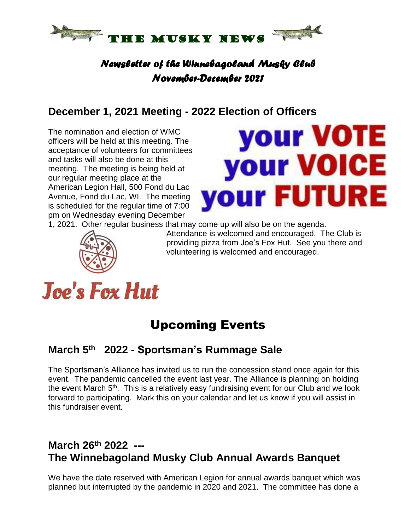

#### *Newsletter of the Winnebagoland Musky Club November-December 2021*

## **December 1, 2021 Meeting - 2022 Election of Officers**

The nomination and election of WMC officers will be held at this meeting. The acceptance of volunteers for committees and tasks will also be done at this meeting. The meeting is being held at our regular meeting place at the American Legion Hall, 500 Fond du Lac Avenue, Fond du Lac, WI. The meeting is scheduled for the regular time of 7:00 pm on Wednesday evening December



1, 2021. Other regular business that may come up will also be on the agenda.



Attendance is welcomed and encouraged. The Club is providing pizza from Joe's Fox Hut. See you there and volunteering is welcomed and encouraged.

# **Joe's Fox Hut**

# Upcoming Events

#### **March 5 th 2022 - Sportsman's Rummage Sale**

The Sportsman's Alliance has invited us to run the concession stand once again for this event. The pandemic cancelled the event last year. The Alliance is planning on holding the event March 5<sup>th</sup>. This is a relatively easy fundraising event for our Club and we look forward to participating. Mark this on your calendar and let us know if you will assist in this fundraiser event.

# **March 26th 2022 --- The Winnebagoland Musky Club Annual Awards Banquet**

We have the date reserved with American Legion for annual awards banquet which was planned but interrupted by the pandemic in 2020 and 2021. The committee has done a